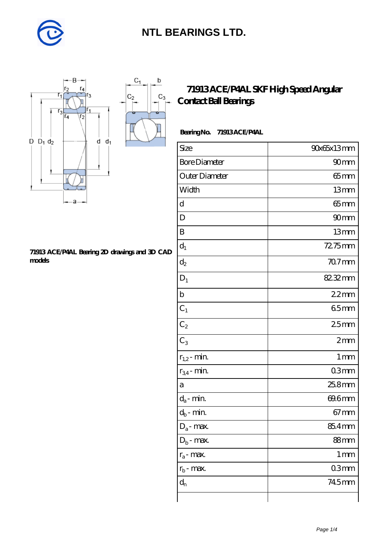

 $\mathbf b$ 

 $\mathrm{C}_3$ 



#### **[71913 ACE/P4AL Bearing 2D drawings and 3D CAD](https://m.diabetesfriends.net/pic-590699.html) [models](https://m.diabetesfriends.net/pic-590699.html)**

#### **[71913 ACE/P4AL SKF High Speed Angular](https://m.diabetesfriends.net/skf-bearing/71913-ace-p4al.html) [Contact Ball Bearings](https://m.diabetesfriends.net/skf-bearing/71913-ace-p4al.html)**

| BearingNo. | <b>71913ACE/P4AL</b> |
|------------|----------------------|
|------------|----------------------|

| Size                 | 90x65x13mm        |
|----------------------|-------------------|
| <b>Bore Diameter</b> | 90 <sub>mm</sub>  |
| Outer Diameter       | $65$ mm           |
| Width                | 13mm              |
| d                    | $65$ mm           |
| D                    | 90mm              |
| B                    | 13mm              |
| $\mathbf{d}_1$       | 72.75mm           |
| $d_2$                | $707$ mm          |
| $D_1$                | 82.32mm           |
| $\mathbf b$          | 22mm              |
| $\mathrm{C}_1$       | 65mm              |
| C <sub>2</sub>       | 25mm              |
| $C_3$                | 2mm               |
| $r_{1,2}$ - min.     | 1 <sub>mm</sub>   |
| $r_{34}$ - min.      | 03mm              |
| a                    | 25.8mm            |
| $d_a$ - min.         | 69.6mm            |
| $d_b$ - min.         | $67 \text{mm}$    |
| $D_a$ - max.         | 85.4mm            |
| $D_b$ - max.         | 88mm              |
| $r_a$ - max.         | $1 \,\mathrm{mm}$ |
| $r_{b}$ - max.       | 03mm              |
| $d_n$                | 745mm             |
|                      |                   |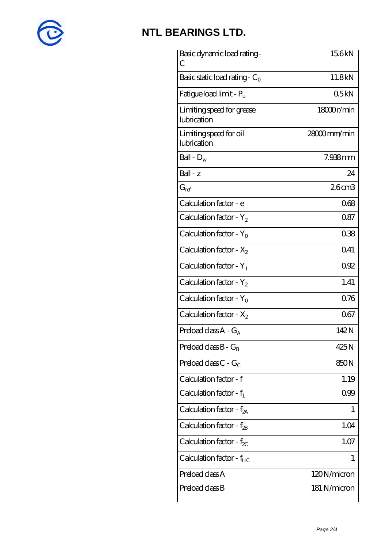

| Basic dynamic load rating -<br>С         | 156kN        |
|------------------------------------------|--------------|
| Basic static load rating - $C_0$         | 11.8kN       |
| Fatigue load limit - $P_{\rm u}$         | 05kN         |
| Limiting speed for grease<br>lubrication | 18000r/min   |
| Limiting speed for oil<br>lubrication    | 28000mm/min  |
| Ball - $D_w$                             | 7.938mm      |
| Ball - z                                 | 24           |
| $G_{\text{ref}}$                         | 26cm3        |
| Calculation factor - e                   | 068          |
| Calculation factor - $Y_2$               | 087          |
| Calculation factor - $Y_0$               | 038          |
| Calculation factor - $X_2$               | 041          |
| Calculation factor - $Y_1$               | 092          |
| Calculation factor - $Y_2$               | 1.41         |
| Calculation factor - $Y_0$               | 0.76         |
| Calculation factor - $X_2$               | 067          |
| Preload class $A - G_A$                  | 142N         |
| Preload class $B - G_B$                  | 425N         |
| Preload class $C - G_C$                  | 850N         |
| Calculation factor - f                   | 1.19         |
| Calculation factor - $f_1$               | 099          |
| Calculation factor - $f_{2A}$            | 1            |
| Calculation factor - $f_{\rm 2B}$        | 1.04         |
| Calculation factor - $f_{\chi}$          | 1.07         |
| Calculation factor - $f_{HC}$            | 1            |
| Preload class A                          | 120N/micron  |
| Preload class B                          | 181 N/micron |
|                                          |              |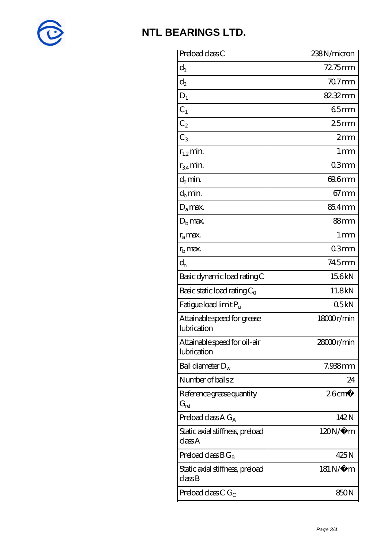

| Preload class C                                               | 238N/micron      |
|---------------------------------------------------------------|------------------|
| $d_1$                                                         | $72.75$ mm       |
| $\mathrm{d}_2$                                                | $707$ mm         |
| $D_1$                                                         | 82.32mm          |
| $C_1$                                                         | 65mm             |
| $C_2$                                                         | 25 <sub>mm</sub> |
| $C_3$                                                         | 2mm              |
| $r_{1,2}$ min.                                                | 1 mm             |
| $r_{34}$ min.                                                 | 03mm             |
| $d_a$ min.                                                    | 69.6mm           |
| $d_b$ min.                                                    | $67$ mm          |
| $D_a$ max.                                                    | 85.4mm           |
| $D_{\rm b}$ max.                                              | $88$ mm          |
| $r_a$ max.                                                    | 1 <sub>mm</sub>  |
| $r_{\rm b}$ max.                                              | 03mm             |
| $\mathrm{d}_{\mathrm{n}}$                                     | 745mm            |
| Basic dynamic load rating C                                   | 156kN            |
| Basic static load rating $C_0$                                | 11.8kN           |
| Fatigue load limit Pu                                         | 05kN             |
| Attainable speed for grease<br>lubrication                    | 18000r/min       |
| Attainable speed for oil-air<br>lubrication                   | 28000r/min       |
| Ball diameter $D_w$                                           | 7.938mm          |
| Number of balls z                                             | 24               |
| Reference grease quantity<br>$G_{\mathrm{ref}}$               | $26 \text{cm}^3$ |
| Preload class A $G_A$                                         | 142N             |
| Static axial stiffness, preload<br>classA                     | $120N/\mu$ m     |
| Preload class $BG_B$                                          | 425N             |
| Static axial stiffness, preload<br>$\mathrm{class}\mathrm{B}$ | 181 N/μ m        |
| Preload class C $G_C$                                         | 850N             |